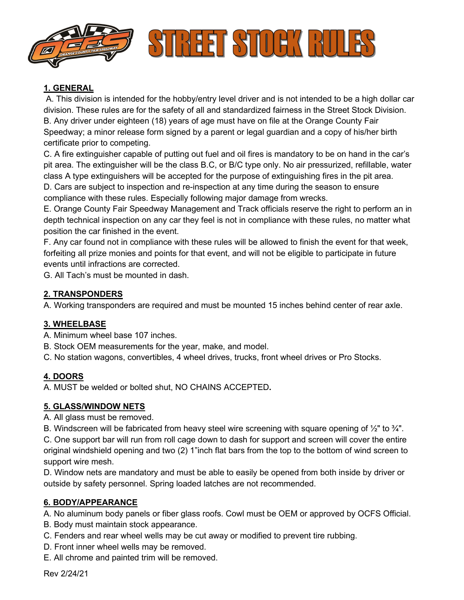

### **1. GENERAL**

A. This division is intended for the hobby/entry level driver and is not intended to be a high dollar car division. These rules are for the safety of all and standardized fairness in the Street Stock Division. B. Any driver under eighteen (18) years of age must have on file at the Orange County Fair Speedway; a minor release form signed by a parent or legal guardian and a copy of his/her birth certificate prior to competing.

C. A fire extinguisher capable of putting out fuel and oil fires is mandatory to be on hand in the car's pit area. The extinguisher will be the class B.C, or B/C type only. No air pressurized, refillable, water class A type extinguishers will be accepted for the purpose of extinguishing fires in the pit area.

D. Cars are subject to inspection and re-inspection at any time during the season to ensure compliance with these rules. Especially following major damage from wrecks.

E. Orange County Fair Speedway Management and Track officials reserve the right to perform an in depth technical inspection on any car they feel is not in compliance with these rules, no matter what position the car finished in the event.

F. Any car found not in compliance with these rules will be allowed to finish the event for that week, forfeiting all prize monies and points for that event, and will not be eligible to participate in future events until infractions are corrected.

G. All Tach's must be mounted in dash.

### **2. TRANSPONDERS**

A. Working transponders are required and must be mounted 15 inches behind center of rear axle.

### **3. WHEELBASE**

A. Minimum wheel base 107 inches.

B. Stock OEM measurements for the year, make, and model.

C. No station wagons, convertibles, 4 wheel drives, trucks, front wheel drives or Pro Stocks.

### **4. DOORS**

A. MUST be welded or bolted shut, NO CHAINS ACCEPTED**.**

### **5. GLASS/WINDOW NETS**

A. All glass must be removed.

B. Windscreen will be fabricated from heavy steel wire screening with square opening of  $\frac{1}{2}$ " to  $\frac{3}{4}$ ".

C. One support bar will run from roll cage down to dash for support and screen will cover the entire original windshield opening and two (2) 1"inch flat bars from the top to the bottom of wind screen to support wire mesh.

D. Window nets are mandatory and must be able to easily be opened from both inside by driver or outside by safety personnel. Spring loaded latches are not recommended.

### **6. BODY/APPEARANCE**

A. No aluminum body panels or fiber glass roofs. Cowl must be OEM or approved by OCFS Official.

- B. Body must maintain stock appearance.
- C. Fenders and rear wheel wells may be cut away or modified to prevent tire rubbing.
- D. Front inner wheel wells may be removed.
- E. All chrome and painted trim will be removed.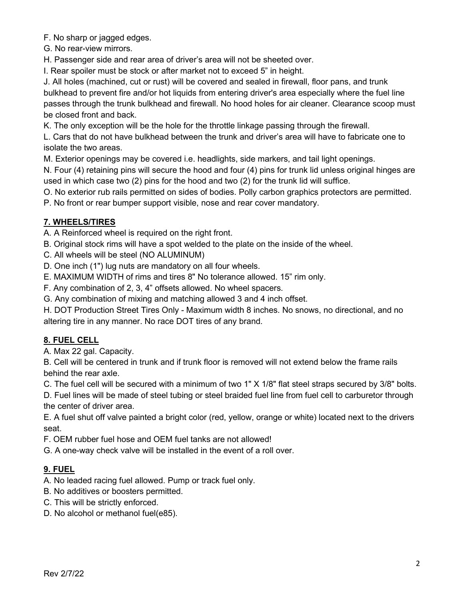F. No sharp or jagged edges.

G. No rear-view mirrors.

H. Passenger side and rear area of driver's area will not be sheeted over.

I. Rear spoiler must be stock or after market not to exceed 5" in height.

J. All holes (machined, cut or rust) will be covered and sealed in firewall, floor pans, and trunk bulkhead to prevent fire and/or hot liquids from entering driver's area especially where the fuel line passes through the trunk bulkhead and firewall. No hood holes for air cleaner. Clearance scoop must be closed front and back.

K. The only exception will be the hole for the throttle linkage passing through the firewall.

L. Cars that do not have bulkhead between the trunk and driver's area will have to fabricate one to isolate the two areas.

M. Exterior openings may be covered i.e. headlights, side markers, and tail light openings.

N. Four (4) retaining pins will secure the hood and four (4) pins for trunk lid unless original hinges are used in which case two (2) pins for the hood and two (2) for the trunk lid will suffice.

O. No exterior rub rails permitted on sides of bodies. Polly carbon graphics protectors are permitted.

P. No front or rear bumper support visible, nose and rear cover mandatory.

# **7. WHEELS/TIRES**

A. A Reinforced wheel is required on the right front.

B. Original stock rims will have a spot welded to the plate on the inside of the wheel.

C. All wheels will be steel (NO ALUMINUM)

D. One inch (1") lug nuts are mandatory on all four wheels.

E. MAXIMUM WIDTH of rims and tires 8" No tolerance allowed. 15" rim only.

F. Any combination of 2, 3, 4" offsets allowed. No wheel spacers.

G. Any combination of mixing and matching allowed 3 and 4 inch offset.

H. DOT Production Street Tires Only - Maximum width 8 inches. No snows, no directional, and no altering tire in any manner. No race DOT tires of any brand.

# **8. FUEL CELL**

A. Max 22 gal. Capacity.

B. Cell will be centered in trunk and if trunk floor is removed will not extend below the frame rails behind the rear axle.

C. The fuel cell will be secured with a minimum of two 1" X 1/8" flat steel straps secured by 3/8" bolts.

D. Fuel lines will be made of steel tubing or steel braided fuel line from fuel cell to carburetor through the center of driver area.

E. A fuel shut off valve painted a bright color (red, yellow, orange or white) located next to the drivers seat.

F. OEM rubber fuel hose and OEM fuel tanks are not allowed!

G. A one-way check valve will be installed in the event of a roll over.

# **9. FUEL**

A. No leaded racing fuel allowed. Pump or track fuel only.

- B. No additives or boosters permitted.
- C. This will be strictly enforced.
- D. No alcohol or methanol fuel(e85).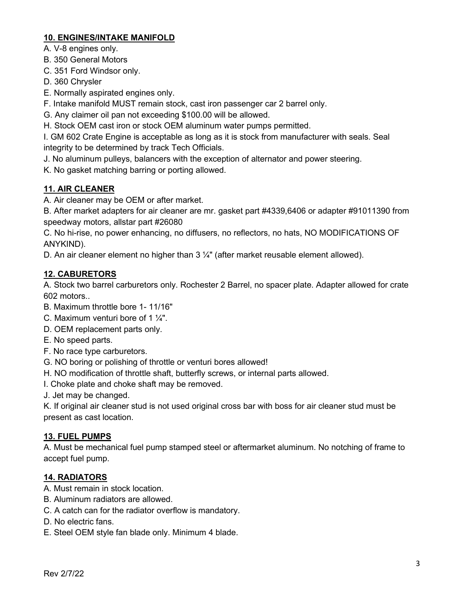### **10. ENGINES/INTAKE MANIFOLD**

A. V-8 engines only.

B. 350 General Motors

C. 351 Ford Windsor only.

D. 360 Chrysler

E. Normally aspirated engines only.

F. Intake manifold MUST remain stock, cast iron passenger car 2 barrel only.

G. Any claimer oil pan not exceeding \$100.00 will be allowed.

H. Stock OEM cast iron or stock OEM aluminum water pumps permitted.

I. GM 602 Crate Engine is acceptable as long as it is stock from manufacturer with seals. Seal integrity to be determined by track Tech Officials.

J. No aluminum pulleys, balancers with the exception of alternator and power steering.

K. No gasket matching barring or porting allowed.

# **11. AIR CLEANER**

A. Air cleaner may be OEM or after market.

B. After market adapters for air cleaner are mr. gasket part #4339,6406 or adapter #91011390 from speedway motors, allstar part #26080

C. No hi-rise, no power enhancing, no diffusers, no reflectors, no hats, NO MODIFICATIONS OF ANYKIND).

D. An air cleaner element no higher than 3 1/4" (after market reusable element allowed).

# **12. CABURETORS**

A. Stock two barrel carburetors only. Rochester 2 Barrel, no spacer plate. Adapter allowed for crate 602 motors..

- B. Maximum throttle bore 1- 11/16"
- C. Maximum venturi bore of 1  $\frac{1}{4}$ ".
- D. OEM replacement parts only.
- E. No speed parts.
- F. No race type carburetors.
- G. NO boring or polishing of throttle or venturi bores allowed!
- H. NO modification of throttle shaft, butterfly screws, or internal parts allowed.
- I. Choke plate and choke shaft may be removed.

J. Jet may be changed.

K. If original air cleaner stud is not used original cross bar with boss for air cleaner stud must be present as cast location.

### **13. FUEL PUMPS**

A. Must be mechanical fuel pump stamped steel or aftermarket aluminum. No notching of frame to accept fuel pump.

# **14. RADIATORS**

- A. Must remain in stock location.
- B. Aluminum radiators are allowed.
- C. A catch can for the radiator overflow is mandatory.
- D. No electric fans.
- E. Steel OEM style fan blade only. Minimum 4 blade.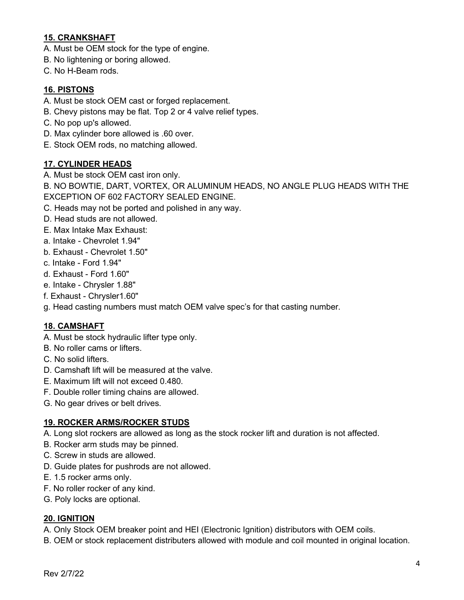### **15. CRANKSHAFT**

- A. Must be OEM stock for the type of engine.
- B. No lightening or boring allowed.
- C. No H-Beam rods.

### **16. PISTONS**

- A. Must be stock OEM cast or forged replacement.
- B. Chevy pistons may be flat. Top 2 or 4 valve relief types.
- C. No pop up's allowed.
- D. Max cylinder bore allowed is .60 over.
- E. Stock OEM rods, no matching allowed.

### **17. CYLINDER HEADS**

A. Must be stock OEM cast iron only.

B. NO BOWTIE, DART, VORTEX, OR ALUMINUM HEADS, NO ANGLE PLUG HEADS WITH THE EXCEPTION OF 602 FACTORY SEALED ENGINE.

- C. Heads may not be ported and polished in any way.
- D. Head studs are not allowed.
- E. Max Intake Max Exhaust:
- a. Intake Chevrolet 1.94"
- b. Exhaust Chevrolet 1.50"
- c. Intake Ford 1.94"
- d. Exhaust Ford 1.60"
- e. Intake Chrysler 1.88"
- f. Exhaust Chrysler1.60"
- g. Head casting numbers must match OEM valve spec's for that casting number.

### **18. CAMSHAFT**

- A. Must be stock hydraulic lifter type only.
- B. No roller cams or lifters.
- C. No solid lifters.
- D. Camshaft lift will be measured at the valve.
- E. Maximum lift will not exceed 0.480.
- F. Double roller timing chains are allowed.
- G. No gear drives or belt drives.

### **19. ROCKER ARMS/ROCKER STUDS**

- A. Long slot rockers are allowed as long as the stock rocker lift and duration is not affected.
- B. Rocker arm studs may be pinned.
- C. Screw in studs are allowed.
- D. Guide plates for pushrods are not allowed.
- E. 1.5 rocker arms only.
- F. No roller rocker of any kind.
- G. Poly locks are optional.

#### **20. IGNITION**

- A. Only Stock OEM breaker point and HEI (Electronic Ignition) distributors with OEM coils.
- B. OEM or stock replacement distributers allowed with module and coil mounted in original location.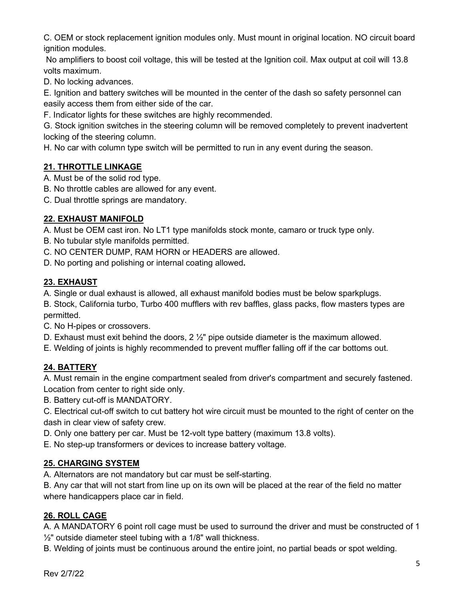C. OEM or stock replacement ignition modules only. Must mount in original location. NO circuit board ignition modules.

No amplifiers to boost coil voltage, this will be tested at the Ignition coil. Max output at coil will 13.8 volts maximum.

D. No locking advances.

E. Ignition and battery switches will be mounted in the center of the dash so safety personnel can easily access them from either side of the car.

F. Indicator lights for these switches are highly recommended.

G. Stock ignition switches in the steering column will be removed completely to prevent inadvertent locking of the steering column.

H. No car with column type switch will be permitted to run in any event during the season.

### **21. THROTTLE LINKAGE**

A. Must be of the solid rod type.

- B. No throttle cables are allowed for any event.
- C. Dual throttle springs are mandatory.

# **22. EXHAUST MANIFOLD**

A. Must be OEM cast iron. No LT1 type manifolds stock monte, camaro or truck type only.

- B. No tubular style manifolds permitted.
- C. NO CENTER DUMP, RAM HORN or HEADERS are allowed.
- D. No porting and polishing or internal coating allowed**.**

# **23. EXHAUST**

A. Single or dual exhaust is allowed, all exhaust manifold bodies must be below sparkplugs.

B. Stock, California turbo, Turbo 400 mufflers with rev baffles, glass packs, flow masters types are permitted.

C. No H-pipes or crossovers.

D. Exhaust must exit behind the doors,  $2\frac{1}{2}$ " pipe outside diameter is the maximum allowed.

E. Welding of joints is highly recommended to prevent muffler falling off if the car bottoms out.

# **24. BATTERY**

A. Must remain in the engine compartment sealed from driver's compartment and securely fastened. Location from center to right side only.

B. Battery cut-off is MANDATORY.

C. Electrical cut-off switch to cut battery hot wire circuit must be mounted to the right of center on the dash in clear view of safety crew.

D. Only one battery per car. Must be 12-volt type battery (maximum 13.8 volts).

E. No step-up transformers or devices to increase battery voltage.

# **25. CHARGING SYSTEM**

A. Alternators are not mandatory but car must be self-starting.

B. Any car that will not start from line up on its own will be placed at the rear of the field no matter where handicappers place car in field.

# **26. ROLL CAGE**

A. A MANDATORY 6 point roll cage must be used to surround the driver and must be constructed of 1  $\frac{1}{2}$ " outside diameter steel tubing with a 1/8" wall thickness.

B. Welding of joints must be continuous around the entire joint, no partial beads or spot welding.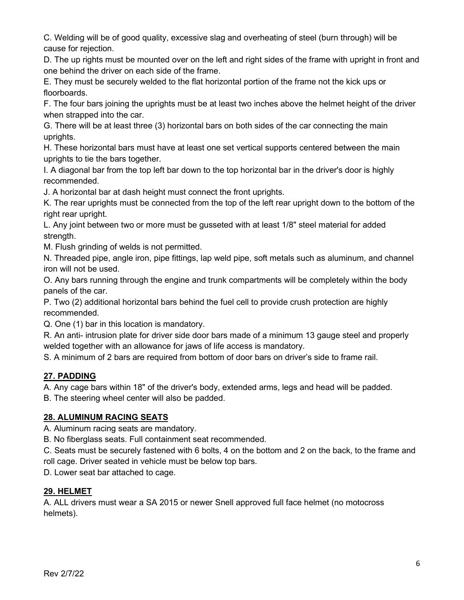C. Welding will be of good quality, excessive slag and overheating of steel (burn through) will be cause for rejection.

D. The up rights must be mounted over on the left and right sides of the frame with upright in front and one behind the driver on each side of the frame.

E. They must be securely welded to the flat horizontal portion of the frame not the kick ups or floorboards.

F. The four bars joining the uprights must be at least two inches above the helmet height of the driver when strapped into the car.

G. There will be at least three (3) horizontal bars on both sides of the car connecting the main uprights.

H. These horizontal bars must have at least one set vertical supports centered between the main uprights to tie the bars together.

I. A diagonal bar from the top left bar down to the top horizontal bar in the driver's door is highly recommended.

J. A horizontal bar at dash height must connect the front uprights.

K. The rear uprights must be connected from the top of the left rear upright down to the bottom of the right rear upright.

L. Any joint between two or more must be gusseted with at least 1/8" steel material for added strength.

M. Flush grinding of welds is not permitted.

N. Threaded pipe, angle iron, pipe fittings, lap weld pipe, soft metals such as aluminum, and channel iron will not be used.

O. Any bars running through the engine and trunk compartments will be completely within the body panels of the car.

P. Two (2) additional horizontal bars behind the fuel cell to provide crush protection are highly recommended.

Q. One (1) bar in this location is mandatory.

R. An anti- intrusion plate for driver side door bars made of a minimum 13 gauge steel and properly welded together with an allowance for jaws of life access is mandatory.

S. A minimum of 2 bars are required from bottom of door bars on driver's side to frame rail.

# **27. PADDING**

A. Any cage bars within 18" of the driver's body, extended arms, legs and head will be padded.

B. The steering wheel center will also be padded.

### **28. ALUMINUM RACING SEATS**

A. Aluminum racing seats are mandatory.

B. No fiberglass seats. Full containment seat recommended.

C. Seats must be securely fastened with 6 bolts, 4 on the bottom and 2 on the back, to the frame and roll cage. Driver seated in vehicle must be below top bars.

D. Lower seat bar attached to cage.

# **29. HELMET**

A. ALL drivers must wear a SA 2015 or newer Snell approved full face helmet (no motocross helmets).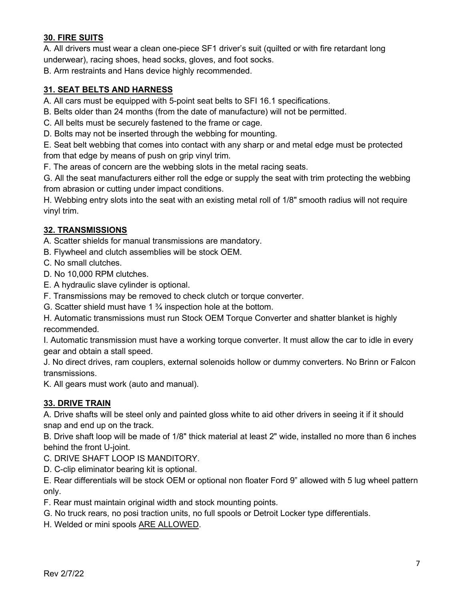# **30. FIRE SUITS**

A. All drivers must wear a clean one-piece SF1 driver's suit (quilted or with fire retardant long underwear), racing shoes, head socks, gloves, and foot socks.

B. Arm restraints and Hans device highly recommended.

#### **31. SEAT BELTS AND HARNESS**

A. All cars must be equipped with 5-point seat belts to SFI 16.1 specifications.

B. Belts older than 24 months (from the date of manufacture) will not be permitted.

C. All belts must be securely fastened to the frame or cage.

D. Bolts may not be inserted through the webbing for mounting.

E. Seat belt webbing that comes into contact with any sharp or and metal edge must be protected from that edge by means of push on grip vinyl trim.

F. The areas of concern are the webbing slots in the metal racing seats.

G. All the seat manufacturers either roll the edge or supply the seat with trim protecting the webbing from abrasion or cutting under impact conditions.

H. Webbing entry slots into the seat with an existing metal roll of 1/8" smooth radius will not require vinyl trim.

#### **32. TRANSMISSIONS**

A. Scatter shields for manual transmissions are mandatory.

- B. Flywheel and clutch assemblies will be stock OEM.
- C. No small clutches.
- D. No 10,000 RPM clutches.
- E. A hydraulic slave cylinder is optional.
- F. Transmissions may be removed to check clutch or torque converter.
- G. Scatter shield must have 1 ¾ inspection hole at the bottom.

H. Automatic transmissions must run Stock OEM Torque Converter and shatter blanket is highly recommended.

I. Automatic transmission must have a working torque converter. It must allow the car to idle in every gear and obtain a stall speed.

J. No direct drives, ram couplers, external solenoids hollow or dummy converters. No Brinn or Falcon transmissions.

K. All gears must work (auto and manual).

### **33. DRIVE TRAIN**

A. Drive shafts will be steel only and painted gloss white to aid other drivers in seeing it if it should snap and end up on the track.

B. Drive shaft loop will be made of 1/8" thick material at least 2" wide, installed no more than 6 inches behind the front U-joint.

C. DRIVE SHAFT LOOP IS MANDITORY.

D. C-clip eliminator bearing kit is optional.

E. Rear differentials will be stock OEM or optional non floater Ford 9" allowed with 5 lug wheel pattern only.

F. Rear must maintain original width and stock mounting points.

G. No truck rears, no posi traction units, no full spools or Detroit Locker type differentials.

H. Welded or mini spools ARE ALLOWED.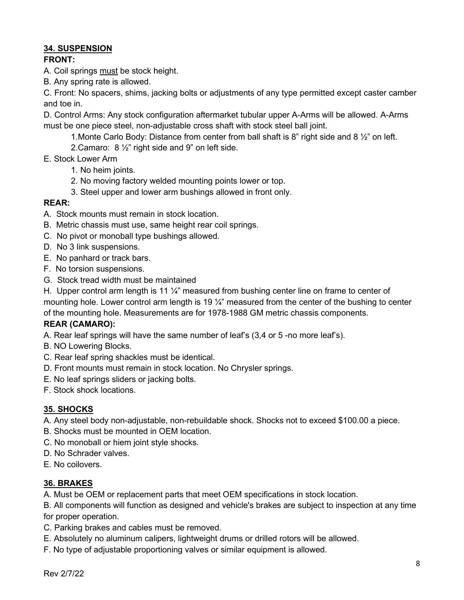### **34. SUSPENSION**

### **FRONT:**

A. Coil springs must be stock height.

B. Any spring rate is allowed.

C. Front: No spacers, shims, jacking bolts or adjustments of any type permitted except caster camber and toe in.

D. Control Arms: Any stock configuration aftermarket tubular upper A-Arms will be allowed. A-Arms must be one piece steel, non-adjustable cross shaft with stock steel ball joint.

- 1. Monte Carlo Body: Distance from center from ball shaft is 8" right side and 8  $\frac{1}{2}$ " on left.
- 2.Camaro: 8 ½" right side and 9" on left side.
- E. Stock Lower Arm
	- 1. No heim joints.
	- 2. No moving factory welded mounting points lower or top.
	- 3. Steel upper and lower arm bushings allowed in front only.

# **REAR:**

- A.Stock mounts must remain in stock location.
- B. Metric chassis must use, same height rear coil springs.
- C. No pivot or monoball type bushings allowed.
- D. No 3 link suspensions.
- E. No panhard or track bars.
- F. No torsion suspensions.
- G. Stock tread width must be maintained

H. Upper control arm length is 11  $\frac{1}{4}$ " measured from bushing center line on frame to center of mounting hole. Lower control arm length is 19 ¼" measured from the center of the bushing to center of the mounting hole. Measurements are for 1978-1988 GM metric chassis components.

### **REAR (CAMARO):**

A. Rear leaf springs will have the same number of leaf's (3,4 or 5 -no more leaf's).

- B. NO Lowering Blocks.
- C. Rear leaf spring shackles must be identical.
- D. Front mounts must remain in stock location. No Chrysler springs.
- E. No leaf springs sliders or jacking bolts.
- F. Stock shock locations.

### **35. SHOCKS**

A. Any steel body non-adjustable, non-rebuildable shock. Shocks not to exceed \$100.00 a piece.

- B. Shocks must be mounted in OEM location.
- C. No monoball or hiem joint style shocks.
- D. No Schrader valves.
- E. No coilovers.

### **36. BRAKES**

A. Must be OEM or replacement parts that meet OEM specifications in stock location.

B. All components will function as designed and vehicle's brakes are subject to inspection at any time for proper operation.

- C. Parking brakes and cables must be removed.
- E. Absolutely no aluminum calipers, lightweight drums or drilled rotors will be allowed.
- F. No type of adjustable proportioning valves or similar equipment is allowed.